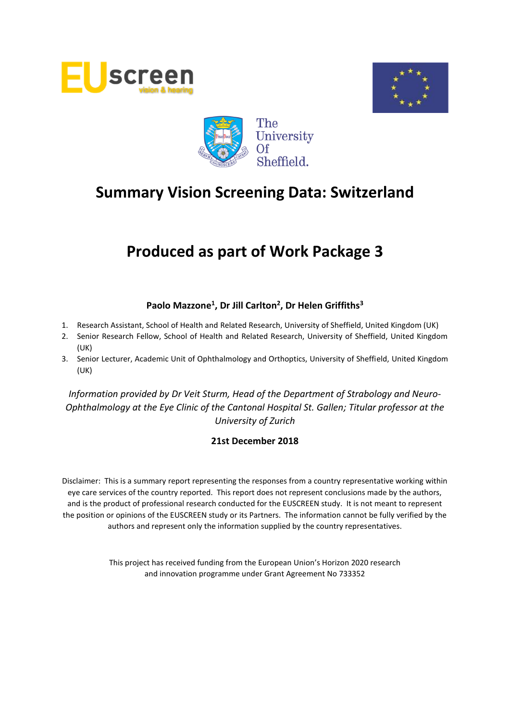





# **Produced as part of Work Package 3**

# **Paolo Mazzone<sup>1</sup> , Dr Jill Carlton<sup>2</sup> , Dr Helen Griffiths<sup>3</sup>**

- 1. Research Assistant, School of Health and Related Research, University of Sheffield, United Kingdom (UK)
- 2. Senior Research Fellow, School of Health and Related Research, University of Sheffield, United Kingdom (UK)
- 3. Senior Lecturer, Academic Unit of Ophthalmology and Orthoptics, University of Sheffield, United Kingdom (UK)

*Information provided by Dr Veit Sturm, Head of the Department of Strabology and Neuro-Ophthalmology at the Eye Clinic of the Cantonal Hospital St. Gallen; Titular professor at the University of Zurich*

## **21st December 2018**

Disclaimer: This is a summary report representing the responses from a country representative working within eye care services of the country reported. This report does not represent conclusions made by the authors, and is the product of professional research conducted for the EUSCREEN study. It is not meant to represent the position or opinions of the EUSCREEN study or its Partners. The information cannot be fully verified by the authors and represent only the information supplied by the country representatives.

> This project has received funding from the European Union's Horizon 2020 research and innovation programme under Grant Agreement No 733352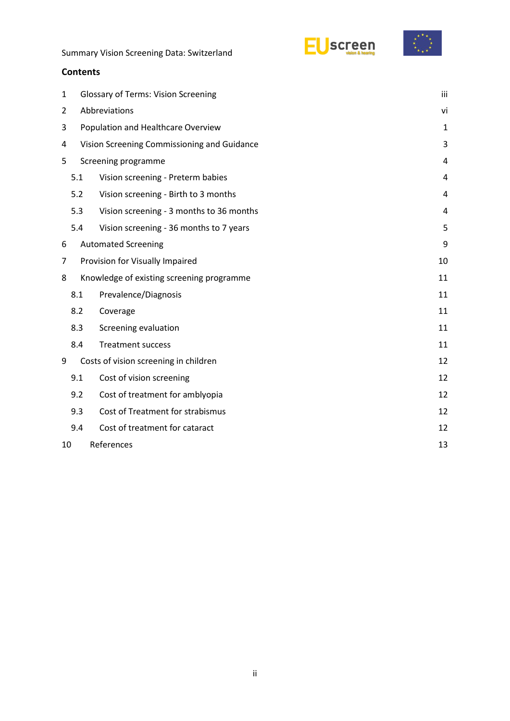



### **Contents**

| 1 | <b>Glossary of Terms: Vision Screening</b>  |                                           |                |  |  |  |  |  |  |
|---|---------------------------------------------|-------------------------------------------|----------------|--|--|--|--|--|--|
| 2 | Abbreviations                               |                                           |                |  |  |  |  |  |  |
| 3 | Population and Healthcare Overview          |                                           |                |  |  |  |  |  |  |
| 4 | Vision Screening Commissioning and Guidance |                                           |                |  |  |  |  |  |  |
| 5 | Screening programme                         |                                           |                |  |  |  |  |  |  |
|   | 5.1                                         | Vision screening - Preterm babies         | 4              |  |  |  |  |  |  |
|   | 5.2<br>Vision screening - Birth to 3 months |                                           |                |  |  |  |  |  |  |
|   | 5.3                                         | Vision screening - 3 months to 36 months  | $\overline{4}$ |  |  |  |  |  |  |
|   | 5.4                                         | Vision screening - 36 months to 7 years   | 5              |  |  |  |  |  |  |
| 6 |                                             | <b>Automated Screening</b>                | 9              |  |  |  |  |  |  |
| 7 |                                             | Provision for Visually Impaired           | 10             |  |  |  |  |  |  |
| 8 |                                             | Knowledge of existing screening programme | 11             |  |  |  |  |  |  |
|   | 8.1                                         | Prevalence/Diagnosis                      | 11             |  |  |  |  |  |  |
|   | 8.2                                         | Coverage                                  | 11             |  |  |  |  |  |  |
|   | 8.3                                         | Screening evaluation                      | 11             |  |  |  |  |  |  |
|   | 8.4                                         | <b>Treatment success</b>                  | 11             |  |  |  |  |  |  |
| 9 |                                             | Costs of vision screening in children     | 12             |  |  |  |  |  |  |
|   | 9.1                                         | Cost of vision screening                  | 12             |  |  |  |  |  |  |
|   | 9.2                                         | Cost of treatment for amblyopia           | 12             |  |  |  |  |  |  |
|   | 9.3                                         | Cost of Treatment for strabismus          | 12             |  |  |  |  |  |  |
|   | 9.4                                         | Cost of treatment for cataract            | 12             |  |  |  |  |  |  |
|   | References<br>13<br>10                      |                                           |                |  |  |  |  |  |  |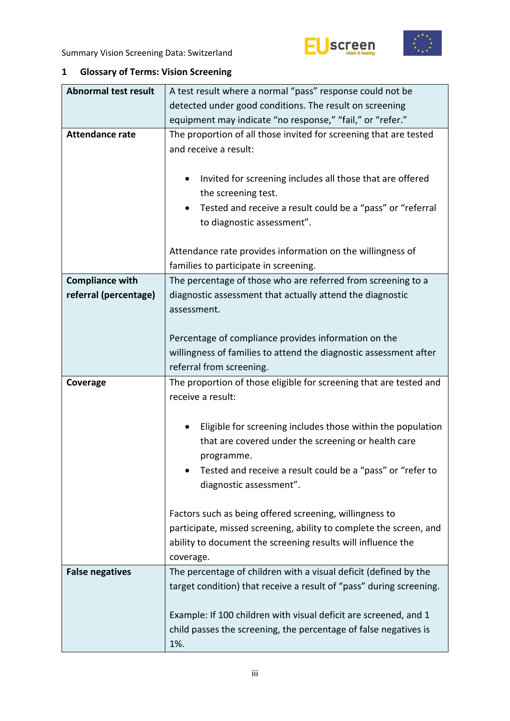



# <span id="page-2-0"></span>**1 Glossary of Terms: Vision Screening**

| <b>Abnormal test result</b> | A test result where a normal "pass" response could not be                                                                                                                                                  |  |  |  |  |  |
|-----------------------------|------------------------------------------------------------------------------------------------------------------------------------------------------------------------------------------------------------|--|--|--|--|--|
|                             | detected under good conditions. The result on screening                                                                                                                                                    |  |  |  |  |  |
|                             | equipment may indicate "no response," "fail," or "refer."                                                                                                                                                  |  |  |  |  |  |
| <b>Attendance rate</b>      | The proportion of all those invited for screening that are tested<br>and receive a result:                                                                                                                 |  |  |  |  |  |
|                             | Invited for screening includes all those that are offered<br>٠<br>the screening test.                                                                                                                      |  |  |  |  |  |
|                             | Tested and receive a result could be a "pass" or "referral<br>to diagnostic assessment".                                                                                                                   |  |  |  |  |  |
|                             | Attendance rate provides information on the willingness of<br>families to participate in screening.                                                                                                        |  |  |  |  |  |
| <b>Compliance with</b>      | The percentage of those who are referred from screening to a                                                                                                                                               |  |  |  |  |  |
| referral (percentage)       | diagnostic assessment that actually attend the diagnostic                                                                                                                                                  |  |  |  |  |  |
|                             | assessment.                                                                                                                                                                                                |  |  |  |  |  |
|                             |                                                                                                                                                                                                            |  |  |  |  |  |
|                             | Percentage of compliance provides information on the                                                                                                                                                       |  |  |  |  |  |
|                             | willingness of families to attend the diagnostic assessment after                                                                                                                                          |  |  |  |  |  |
|                             | referral from screening.                                                                                                                                                                                   |  |  |  |  |  |
|                             |                                                                                                                                                                                                            |  |  |  |  |  |
| Coverage                    | The proportion of those eligible for screening that are tested and<br>receive a result:                                                                                                                    |  |  |  |  |  |
|                             | Eligible for screening includes those within the population<br>٠<br>that are covered under the screening or health care<br>programme.                                                                      |  |  |  |  |  |
|                             | Tested and receive a result could be a "pass" or "refer to<br>diagnostic assessment".                                                                                                                      |  |  |  |  |  |
|                             | Factors such as being offered screening, willingness to<br>participate, missed screening, ability to complete the screen, and<br>ability to document the screening results will influence the<br>coverage. |  |  |  |  |  |
| <b>False negatives</b>      | The percentage of children with a visual deficit (defined by the                                                                                                                                           |  |  |  |  |  |
|                             | target condition) that receive a result of "pass" during screening.                                                                                                                                        |  |  |  |  |  |
|                             | Example: If 100 children with visual deficit are screened, and 1                                                                                                                                           |  |  |  |  |  |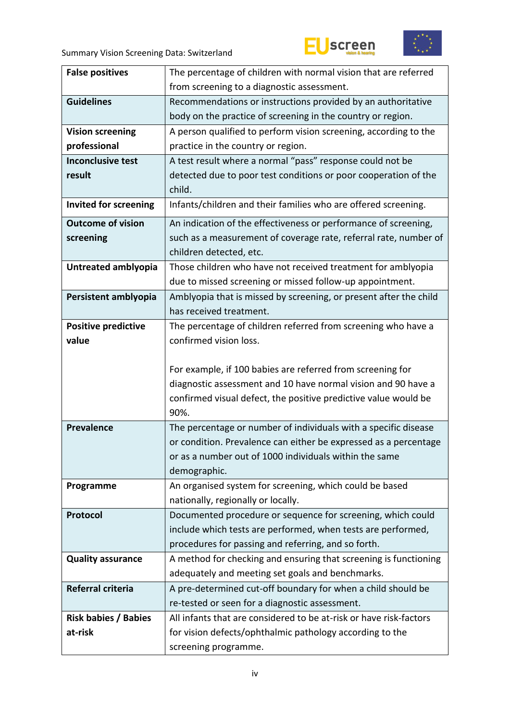



| <b>False positives</b>       | The percentage of children with normal vision that are referred                  |
|------------------------------|----------------------------------------------------------------------------------|
|                              | from screening to a diagnostic assessment.                                       |
|                              |                                                                                  |
| <b>Guidelines</b>            | Recommendations or instructions provided by an authoritative                     |
|                              | body on the practice of screening in the country or region.                      |
| <b>Vision screening</b>      | A person qualified to perform vision screening, according to the                 |
| professional                 | practice in the country or region.                                               |
| <b>Inconclusive test</b>     | A test result where a normal "pass" response could not be                        |
| result                       | detected due to poor test conditions or poor cooperation of the                  |
|                              | child.                                                                           |
| <b>Invited for screening</b> | Infants/children and their families who are offered screening.                   |
| <b>Outcome of vision</b>     | An indication of the effectiveness or performance of screening,                  |
| screening                    | such as a measurement of coverage rate, referral rate, number of                 |
|                              | children detected, etc.                                                          |
| Untreated amblyopia          | Those children who have not received treatment for amblyopia                     |
|                              | due to missed screening or missed follow-up appointment.                         |
| Persistent amblyopia         | Amblyopia that is missed by screening, or present after the child                |
|                              | has received treatment.                                                          |
|                              |                                                                                  |
| <b>Positive predictive</b>   | The percentage of children referred from screening who have a                    |
| value                        | confirmed vision loss.                                                           |
|                              |                                                                                  |
|                              | For example, if 100 babies are referred from screening for                       |
|                              | diagnostic assessment and 10 have normal vision and 90 have a                    |
|                              | confirmed visual defect, the positive predictive value would be                  |
|                              | 90%.                                                                             |
| <b>Prevalence</b>            | The percentage or number of individuals with a specific disease                  |
|                              | or condition. Prevalence can either be expressed as a percentage                 |
|                              | or as a number out of 1000 individuals within the same                           |
|                              | demographic.                                                                     |
| Programme                    | An organised system for screening, which could be based                          |
|                              | nationally, regionally or locally.                                               |
| Protocol                     | Documented procedure or sequence for screening, which could                      |
|                              | include which tests are performed, when tests are performed,                     |
|                              |                                                                                  |
|                              |                                                                                  |
|                              | procedures for passing and referring, and so forth.                              |
| <b>Quality assurance</b>     | A method for checking and ensuring that screening is functioning                 |
|                              | adequately and meeting set goals and benchmarks.                                 |
| Referral criteria            | A pre-determined cut-off boundary for when a child should be                     |
|                              | re-tested or seen for a diagnostic assessment.                                   |
| <b>Risk babies / Babies</b>  | All infants that are considered to be at-risk or have risk-factors               |
| at-risk                      | for vision defects/ophthalmic pathology according to the<br>screening programme. |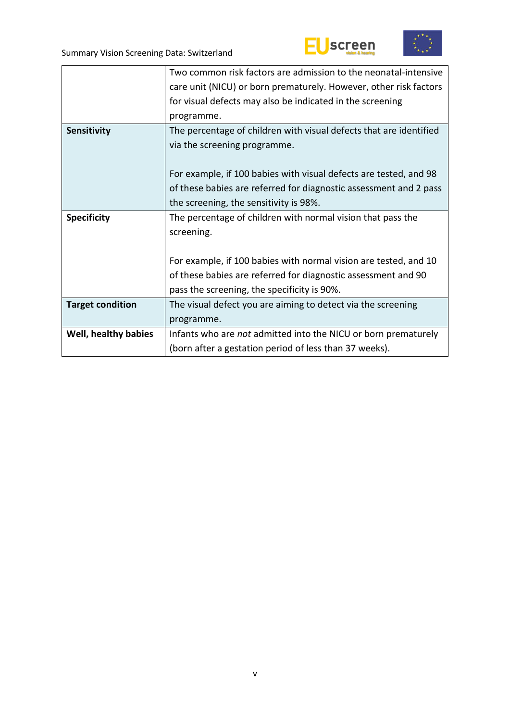



|                         | Two common risk factors are admission to the neonatal-intensive    |
|-------------------------|--------------------------------------------------------------------|
|                         | care unit (NICU) or born prematurely. However, other risk factors  |
|                         | for visual defects may also be indicated in the screening          |
|                         | programme.                                                         |
| Sensitivity             | The percentage of children with visual defects that are identified |
|                         | via the screening programme.                                       |
|                         |                                                                    |
|                         | For example, if 100 babies with visual defects are tested, and 98  |
|                         | of these babies are referred for diagnostic assessment and 2 pass  |
|                         | the screening, the sensitivity is 98%.                             |
| <b>Specificity</b>      | The percentage of children with normal vision that pass the        |
|                         | screening.                                                         |
|                         |                                                                    |
|                         | For example, if 100 babies with normal vision are tested, and 10   |
|                         | of these babies are referred for diagnostic assessment and 90      |
|                         | pass the screening, the specificity is 90%.                        |
| <b>Target condition</b> | The visual defect you are aiming to detect via the screening       |
|                         | programme.                                                         |
| Well, healthy babies    | Infants who are not admitted into the NICU or born prematurely     |
|                         | (born after a gestation period of less than 37 weeks).             |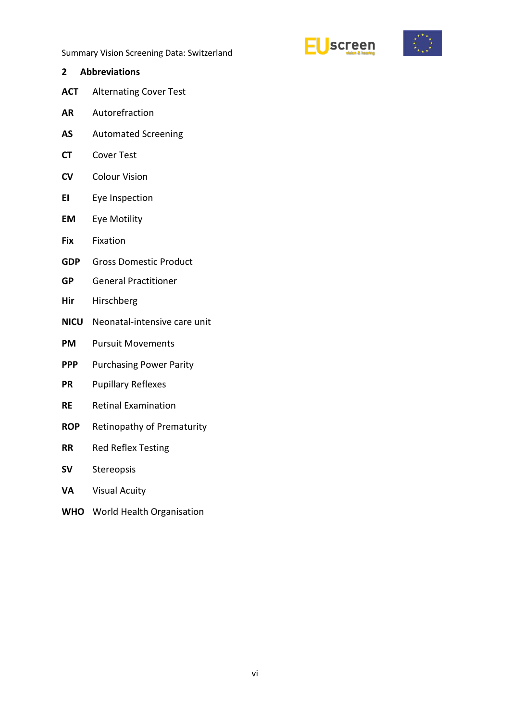



<span id="page-5-0"></span>**2 Abbreviations ACT** Alternating Cover Test **AR** Autorefraction **AS** Automated Screening **CT** Cover Test **CV** Colour Vision **EI** Eye Inspection **EM** Eye Motility **Fix** Fixation **GDP** Gross Domestic Product **GP** General Practitioner **Hir** Hirschberg **NICU** Neonatal-intensive care unit **PM** Pursuit Movements **PPP** Purchasing Power Parity **PR** Pupillary Reflexes **RE** Retinal Examination **ROP** Retinopathy of Prematurity **RR** Red Reflex Testing **SV** Stereopsis **VA** Visual Acuity **WHO** World Health Organisation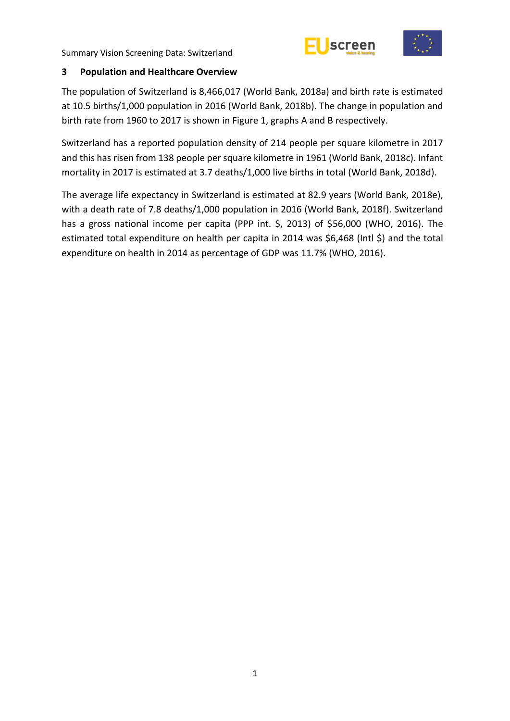



### <span id="page-6-0"></span>**3 Population and Healthcare Overview**

The population of Switzerland is 8,466,017 (World Bank, 2018a) and birth rate is estimated at 10.5 births/1,000 population in 2016 (World Bank, 2018b). The change in population and birth rate from 1960 to 2017 is shown in Figure 1, graphs A and B respectively.

Switzerland has a reported population density of 214 people per square kilometre in 2017 and this has risen from 138 people per square kilometre in 1961 (World Bank, 2018c). Infant mortality in 2017 is estimated at 3.7 deaths/1,000 live births in total (World Bank, 2018d).

The average life expectancy in Switzerland is estimated at 82.9 years (World Bank, 2018e), with a death rate of 7.8 deaths/1,000 population in 2016 (World Bank, 2018f). Switzerland has a gross national income per capita (PPP int. \$, 2013) of \$56,000 (WHO, 2016). The estimated total expenditure on health per capita in 2014 was \$6,468 (Intl \$) and the total expenditure on health in 2014 as percentage of GDP was 11.7% (WHO, 2016).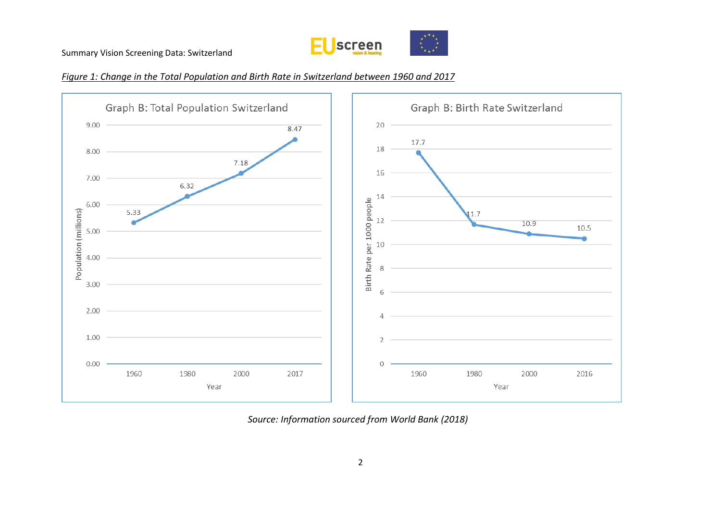





*Source: Information sourced from World Bank (2018)*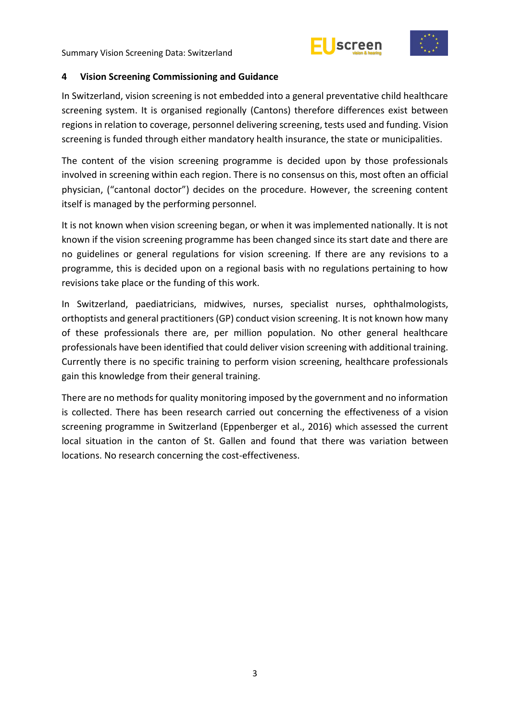



#### <span id="page-8-0"></span>**4 Vision Screening Commissioning and Guidance**

In Switzerland, vision screening is not embedded into a general preventative child healthcare screening system. It is organised regionally (Cantons) therefore differences exist between regions in relation to coverage, personnel delivering screening, tests used and funding. Vision screening is funded through either mandatory health insurance, the state or municipalities.

The content of the vision screening programme is decided upon by those professionals involved in screening within each region. There is no consensus on this, most often an official physician, ("cantonal doctor") decides on the procedure. However, the screening content itself is managed by the performing personnel.

It is not known when vision screening began, or when it was implemented nationally. It is not known if the vision screening programme has been changed since its start date and there are no guidelines or general regulations for vision screening. If there are any revisions to a programme, this is decided upon on a regional basis with no regulations pertaining to how revisions take place or the funding of this work.

In Switzerland, paediatricians, midwives, nurses, specialist nurses, ophthalmologists, orthoptists and general practitioners (GP) conduct vision screening. It is not known how many of these professionals there are, per million population. No other general healthcare professionals have been identified that could deliver vision screening with additional training. Currently there is no specific training to perform vision screening, healthcare professionals gain this knowledge from their general training.

There are no methods for quality monitoring imposed by the government and no information is collected. There has been research carried out concerning the effectiveness of a vision screening programme in Switzerland (Eppenberger et al., 2016) which assessed the current local situation in the canton of St. Gallen and found that there was variation between locations. No research concerning the cost-effectiveness.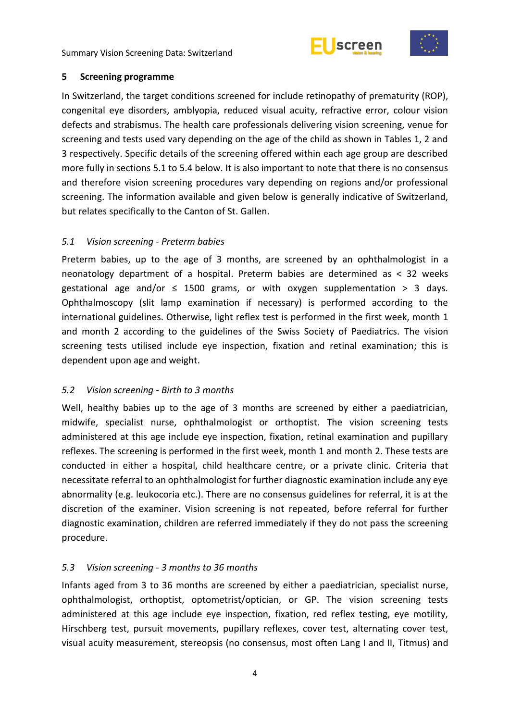



#### <span id="page-9-0"></span>**5 Screening programme**

In Switzerland, the target conditions screened for include retinopathy of prematurity (ROP), congenital eye disorders, amblyopia, reduced visual acuity, refractive error, colour vision defects and strabismus. The health care professionals delivering vision screening, venue for screening and tests used vary depending on the age of the child as shown in Tables 1, 2 and 3 respectively. Specific details of the screening offered within each age group are described more fully in sections 5.1 to 5.4 below. It is also important to note that there is no consensus and therefore vision screening procedures vary depending on regions and/or professional screening. The information available and given below is generally indicative of Switzerland, but relates specifically to the Canton of St. Gallen.

### <span id="page-9-1"></span>*5.1 Vision screening - Preterm babies*

Preterm babies, up to the age of 3 months, are screened by an ophthalmologist in a neonatology department of a hospital. Preterm babies are determined as < 32 weeks gestational age and/or  $\leq$  1500 grams, or with oxygen supplementation > 3 days. Ophthalmoscopy (slit lamp examination if necessary) is performed according to the international guidelines. Otherwise, light reflex test is performed in the first week, month 1 and month 2 according to the guidelines of the Swiss Society of Paediatrics. The vision screening tests utilised include eye inspection, fixation and retinal examination; this is dependent upon age and weight.

#### <span id="page-9-2"></span>*5.2 Vision screening - Birth to 3 months*

Well, healthy babies up to the age of 3 months are screened by either a paediatrician, midwife, specialist nurse, ophthalmologist or orthoptist. The vision screening tests administered at this age include eye inspection, fixation, retinal examination and pupillary reflexes. The screening is performed in the first week, month 1 and month 2. These tests are conducted in either a hospital, child healthcare centre, or a private clinic. Criteria that necessitate referral to an ophthalmologist for further diagnostic examination include any eye abnormality (e.g. leukocoria etc.). There are no consensus guidelines for referral, it is at the discretion of the examiner. Vision screening is not repeated, before referral for further diagnostic examination, children are referred immediately if they do not pass the screening procedure.

## <span id="page-9-3"></span>*5.3 Vision screening - 3 months to 36 months*

Infants aged from 3 to 36 months are screened by either a paediatrician, specialist nurse, ophthalmologist, orthoptist, optometrist/optician, or GP. The vision screening tests administered at this age include eye inspection, fixation, red reflex testing, eye motility, Hirschberg test, pursuit movements, pupillary reflexes, cover test, alternating cover test, visual acuity measurement, stereopsis (no consensus, most often Lang I and II, Titmus) and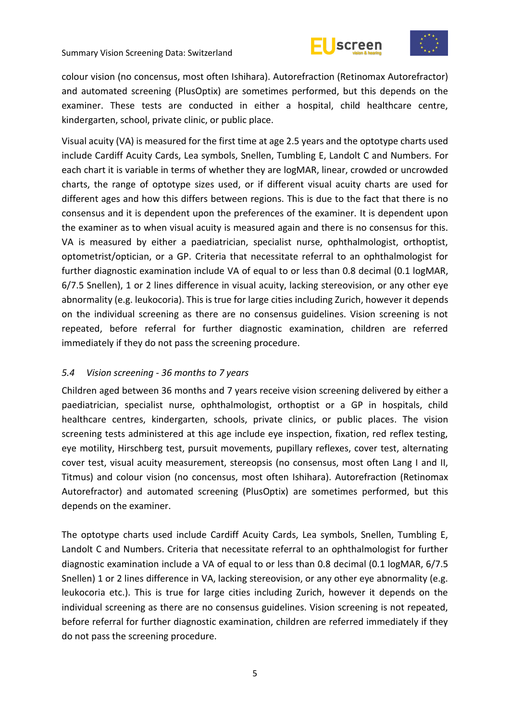



colour vision (no concensus, most often Ishihara). Autorefraction (Retinomax Autorefractor) and automated screening (PlusOptix) are sometimes performed, but this depends on the examiner. These tests are conducted in either a hospital, child healthcare centre, kindergarten, school, private clinic, or public place.

Visual acuity (VA) is measured for the first time at age 2.5 years and the optotype charts used include Cardiff Acuity Cards, Lea symbols, Snellen, Tumbling E, Landolt C and Numbers. For each chart it is variable in terms of whether they are logMAR, linear, crowded or uncrowded charts, the range of optotype sizes used, or if different visual acuity charts are used for different ages and how this differs between regions. This is due to the fact that there is no consensus and it is dependent upon the preferences of the examiner. It is dependent upon the examiner as to when visual acuity is measured again and there is no consensus for this. VA is measured by either a paediatrician, specialist nurse, ophthalmologist, orthoptist, optometrist/optician, or a GP. Criteria that necessitate referral to an ophthalmologist for further diagnostic examination include VA of equal to or less than 0.8 decimal (0.1 logMAR, 6/7.5 Snellen), 1 or 2 lines difference in visual acuity, lacking stereovision, or any other eye abnormality (e.g. leukocoria). This is true for large cities including Zurich, however it depends on the individual screening as there are no consensus guidelines. Vision screening is not repeated, before referral for further diagnostic examination, children are referred immediately if they do not pass the screening procedure.

## <span id="page-10-0"></span>*5.4 Vision screening - 36 months to 7 years*

Children aged between 36 months and 7 years receive vision screening delivered by either a paediatrician, specialist nurse, ophthalmologist, orthoptist or a GP in hospitals, child healthcare centres, kindergarten, schools, private clinics, or public places. The vision screening tests administered at this age include eye inspection, fixation, red reflex testing, eye motility, Hirschberg test, pursuit movements, pupillary reflexes, cover test, alternating cover test, visual acuity measurement, stereopsis (no consensus, most often Lang I and II, Titmus) and colour vision (no concensus, most often Ishihara). Autorefraction (Retinomax Autorefractor) and automated screening (PlusOptix) are sometimes performed, but this depends on the examiner.

The optotype charts used include Cardiff Acuity Cards, Lea symbols, Snellen, Tumbling E, Landolt C and Numbers. Criteria that necessitate referral to an ophthalmologist for further diagnostic examination include a VA of equal to or less than 0.8 decimal (0.1 logMAR, 6/7.5 Snellen) 1 or 2 lines difference in VA, lacking stereovision, or any other eye abnormality (e.g. leukocoria etc.). This is true for large cities including Zurich, however it depends on the individual screening as there are no consensus guidelines. Vision screening is not repeated, before referral for further diagnostic examination, children are referred immediately if they do not pass the screening procedure.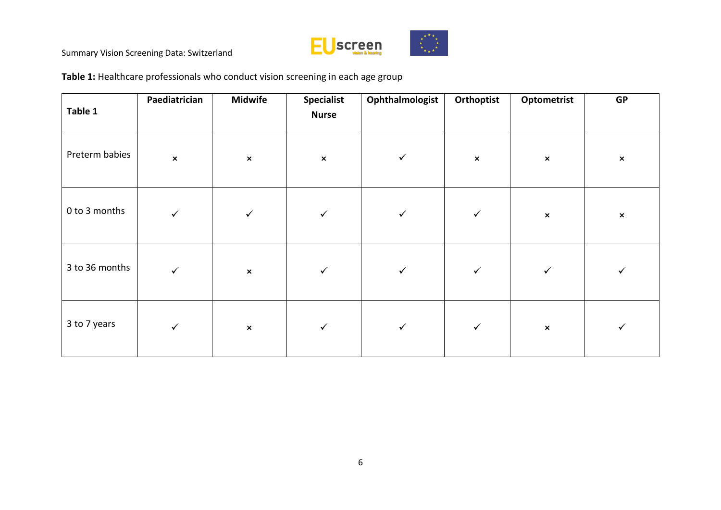

**Table 1:** Healthcare professionals who conduct vision screening in each age group

| Table 1        | Paediatrician  | <b>Midwife</b> | <b>Specialist</b><br><b>Nurse</b> | Ophthalmologist | Orthoptist     | Optometrist    | <b>GP</b>      |
|----------------|----------------|----------------|-----------------------------------|-----------------|----------------|----------------|----------------|
| Preterm babies | $\pmb{\times}$ | $\pmb{\times}$ | $\pmb{\times}$                    | $\checkmark$    | $\pmb{\times}$ | $\pmb{\times}$ | $\pmb{\times}$ |
| 0 to 3 months  | $\checkmark$   | $\checkmark$   | $\checkmark$                      | $\checkmark$    | $\checkmark$   | $\pmb{\times}$ | $\pmb{\times}$ |
| 3 to 36 months | $\checkmark$   | $\pmb{\times}$ | $\checkmark$                      | $\checkmark$    | $\checkmark$   | $\checkmark$   |                |
| 3 to 7 years   | $\checkmark$   | $\pmb{\times}$ | $\checkmark$                      | $\checkmark$    | $\checkmark$   | $\pmb{\times}$ |                |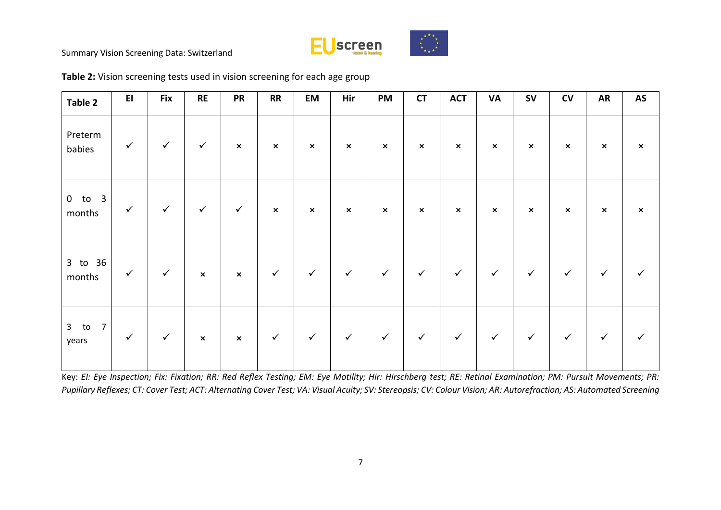

| Table 2                           | E1           | <b>Fix</b>   | <b>RE</b>                 | <b>PR</b>      | RR                        | EM                        | Hir            | PM             | <b>CT</b>                 | <b>ACT</b>     | <b>VA</b>      | ${\sf SV}$                | CV                        | <b>AR</b>      | AS                        |
|-----------------------------------|--------------|--------------|---------------------------|----------------|---------------------------|---------------------------|----------------|----------------|---------------------------|----------------|----------------|---------------------------|---------------------------|----------------|---------------------------|
| Preterm<br>babies                 | $\checkmark$ | $\checkmark$ | $\checkmark$              | $\pmb{\times}$ | $\boldsymbol{\mathsf{x}}$ | $\boldsymbol{\mathsf{x}}$ | $\pmb{\times}$ | $\pmb{\times}$ | $\boldsymbol{\mathsf{x}}$ | $\pmb{\times}$ | $\pmb{\times}$ | $\boldsymbol{\mathsf{x}}$ | $\boldsymbol{\mathsf{x}}$ | $\pmb{\times}$ | $\boldsymbol{\mathsf{x}}$ |
| $0$ to $3$<br>months              | $\checkmark$ | $\checkmark$ | $\checkmark$              | $\checkmark$   | $\boldsymbol{\mathsf{x}}$ | $\pmb{\times}$            | $\pmb{\times}$ | $\pmb{\times}$ | $\boldsymbol{\mathsf{x}}$ | $\pmb{\times}$ | $\pmb{\times}$ | $\boldsymbol{\mathsf{x}}$ | $\boldsymbol{\mathsf{x}}$ | $\pmb{\times}$ | $\pmb{\times}$            |
| 3 to 36<br>months                 | $\checkmark$ | $\checkmark$ | $\boldsymbol{\mathsf{x}}$ | $\pmb{\times}$ | $\checkmark$              | $\checkmark$              | $\checkmark$   | $\checkmark$   | $\checkmark$              | $\checkmark$   | $\checkmark$   | $\checkmark$              | $\checkmark$              | $\checkmark$   | ✓                         |
| $3$ to<br>$\overline{7}$<br>years | $\checkmark$ | $\checkmark$ | $\pmb{\times}$            | $\pmb{\times}$ | $\checkmark$              | $\checkmark$              | $\checkmark$   | $\checkmark$   | $\checkmark$              | $\checkmark$   | $\checkmark$   | $\checkmark$              | $\checkmark$              | $\checkmark$   |                           |

**Table 2:** Vision screening tests used in vision screening for each age group

Key: *EI: Eye Inspection; Fix: Fixation; RR: Red Reflex Testing; EM: Eye Motility; Hir: Hirschberg test; RE: Retinal Examination; PM: Pursuit Movements; PR: Pupillary Reflexes; CT: Cover Test; ACT: Alternating Cover Test; VA: Visual Acuity; SV: Stereopsis; CV: Colour Vision; AR: Autorefraction; AS: Automated Screening*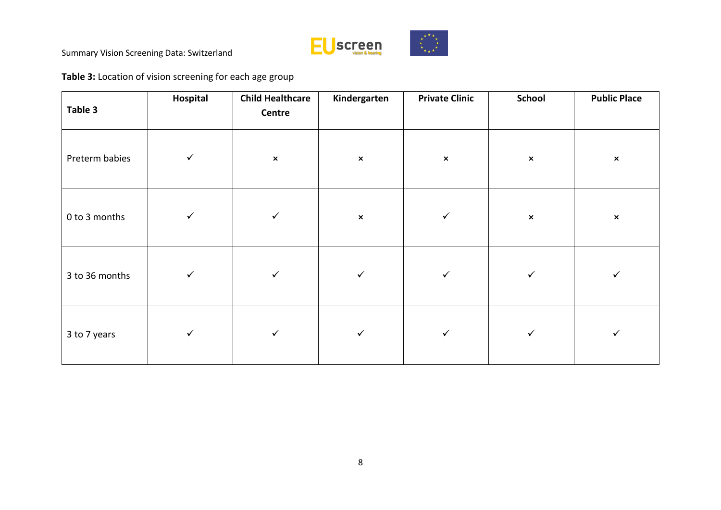

**Table 3:** Location of vision screening for each age group

| Table 3        | Hospital     | <b>Child Healthcare</b><br>Centre | Kindergarten   | <b>Private Clinic</b> | <b>School</b>  | <b>Public Place</b> |
|----------------|--------------|-----------------------------------|----------------|-----------------------|----------------|---------------------|
| Preterm babies | $\checkmark$ | $\pmb{\times}$                    | $\pmb{\times}$ | $\pmb{\times}$        | $\pmb{\times}$ | $\pmb{\times}$      |
| 0 to 3 months  | $\checkmark$ | $\checkmark$                      | $\pmb{\times}$ | $\checkmark$          | $\pmb{\times}$ | $\pmb{\times}$      |
| 3 to 36 months | $\checkmark$ | $\checkmark$                      | $\checkmark$   | $\checkmark$          | $\checkmark$   | ✓                   |
| 3 to 7 years   | $\checkmark$ | $\checkmark$                      | $\checkmark$   | $\checkmark$          | $\checkmark$   | ✓                   |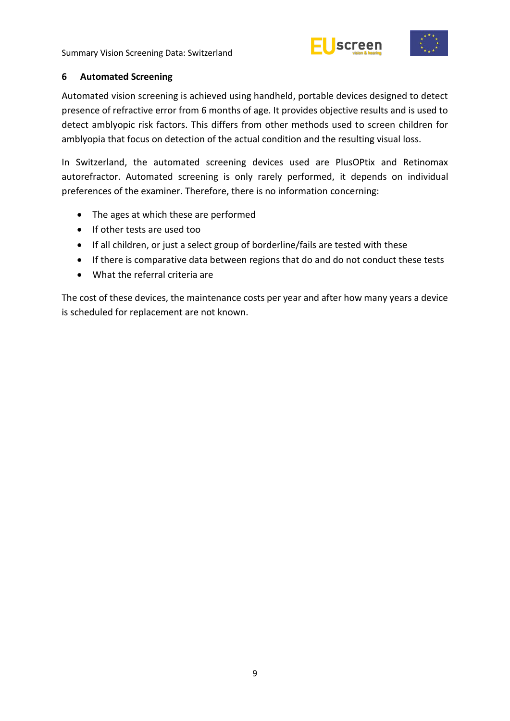



#### <span id="page-14-0"></span>**6 Automated Screening**

Automated vision screening is achieved using handheld, portable devices designed to detect presence of refractive error from 6 months of age. It provides objective results and is used to detect amblyopic risk factors. This differs from other methods used to screen children for amblyopia that focus on detection of the actual condition and the resulting visual loss.

In Switzerland, the automated screening devices used are PlusOPtix and Retinomax autorefractor. Automated screening is only rarely performed, it depends on individual preferences of the examiner. Therefore, there is no information concerning:

- The ages at which these are performed
- If other tests are used too
- If all children, or just a select group of borderline/fails are tested with these
- If there is comparative data between regions that do and do not conduct these tests
- What the referral criteria are

The cost of these devices, the maintenance costs per year and after how many years a device is scheduled for replacement are not known.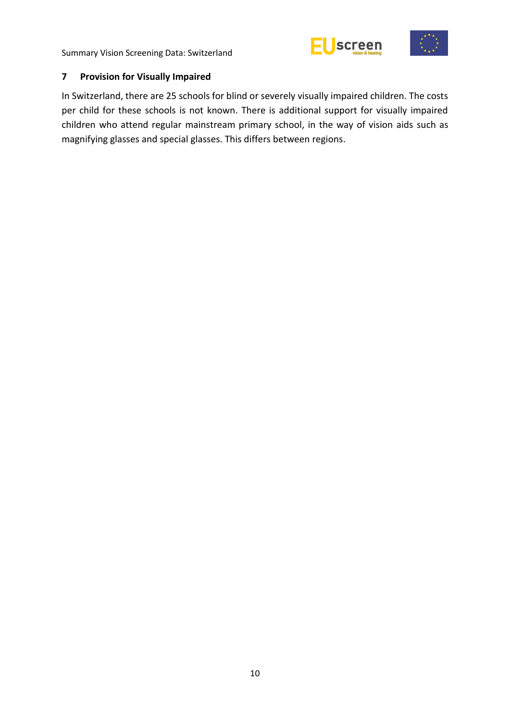



## <span id="page-15-0"></span>**7 Provision for Visually Impaired**

In Switzerland, there are 25 schools for blind or severely visually impaired children. The costs per child for these schools is not known. There is additional support for visually impaired children who attend regular mainstream primary school, in the way of vision aids such as magnifying glasses and special glasses. This differs between regions.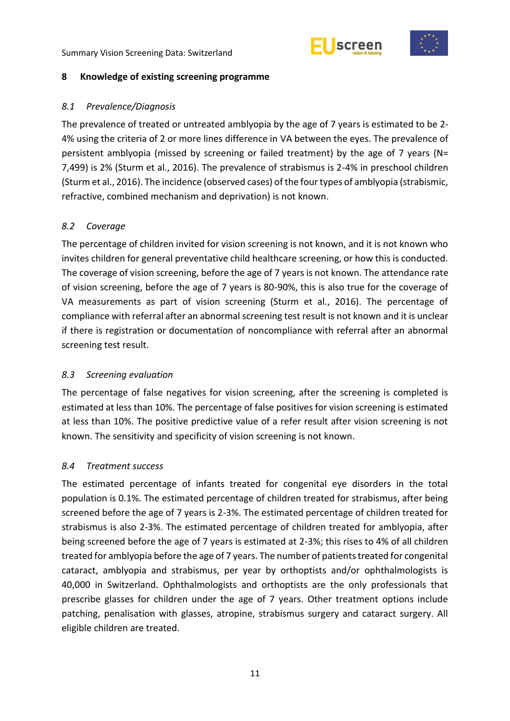



#### <span id="page-16-0"></span>**8 Knowledge of existing screening programme**

### <span id="page-16-1"></span>*8.1 Prevalence/Diagnosis*

The prevalence of treated or untreated amblyopia by the age of 7 years is estimated to be 2- 4% using the criteria of 2 or more lines difference in VA between the eyes. The prevalence of persistent amblyopia (missed by screening or failed treatment) by the age of 7 years (N= 7,499) is 2% (Sturm et al., 2016). The prevalence of strabismus is 2-4% in preschool children (Sturm et al., 2016). The incidence (observed cases) of the four types of amblyopia (strabismic, refractive, combined mechanism and deprivation) is not known.

## <span id="page-16-2"></span>*8.2 Coverage*

The percentage of children invited for vision screening is not known, and it is not known who invites children for general preventative child healthcare screening, or how this is conducted. The coverage of vision screening, before the age of 7 years is not known. The attendance rate of vision screening, before the age of 7 years is 80-90%, this is also true for the coverage of VA measurements as part of vision screening (Sturm et al., 2016). The percentage of compliance with referral after an abnormal screening test result is not known and it is unclear if there is registration or documentation of noncompliance with referral after an abnormal screening test result.

## <span id="page-16-3"></span>*8.3 Screening evaluation*

The percentage of false negatives for vision screening, after the screening is completed is estimated at less than 10%. The percentage of false positives for vision screening is estimated at less than 10%. The positive predictive value of a refer result after vision screening is not known. The sensitivity and specificity of vision screening is not known.

## <span id="page-16-4"></span>*8.4 Treatment success*

The estimated percentage of infants treated for congenital eye disorders in the total population is 0.1%. The estimated percentage of children treated for strabismus, after being screened before the age of 7 years is 2-3%. The estimated percentage of children treated for strabismus is also 2-3%. The estimated percentage of children treated for amblyopia, after being screened before the age of 7 years is estimated at 2-3%; this rises to 4% of all children treated for amblyopia before the age of 7 years. The number of patients treated for congenital cataract, amblyopia and strabismus, per year by orthoptists and/or ophthalmologists is 40,000 in Switzerland. Ophthalmologists and orthoptists are the only professionals that prescribe glasses for children under the age of 7 years. Other treatment options include patching, penalisation with glasses, atropine, strabismus surgery and cataract surgery. All eligible children are treated.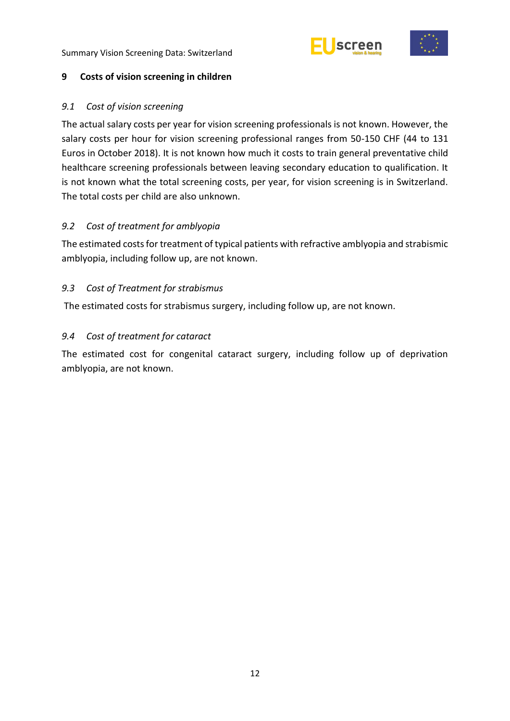



#### <span id="page-17-0"></span>**9 Costs of vision screening in children**

#### <span id="page-17-1"></span>*9.1 Cost of vision screening*

The actual salary costs per year for vision screening professionals is not known. However, the salary costs per hour for vision screening professional ranges from 50-150 CHF (44 to 131 Euros in October 2018). It is not known how much it costs to train general preventative child healthcare screening professionals between leaving secondary education to qualification. It is not known what the total screening costs, per year, for vision screening is in Switzerland. The total costs per child are also unknown.

#### <span id="page-17-2"></span>*9.2 Cost of treatment for amblyopia*

The estimated costs for treatment of typical patients with refractive amblyopia and strabismic amblyopia, including follow up, are not known.

### <span id="page-17-3"></span>*9.3 Cost of Treatment for strabismus*

The estimated costs for strabismus surgery, including follow up, are not known.

### <span id="page-17-4"></span>*9.4 Cost of treatment for cataract*

The estimated cost for congenital cataract surgery, including follow up of deprivation amblyopia, are not known.